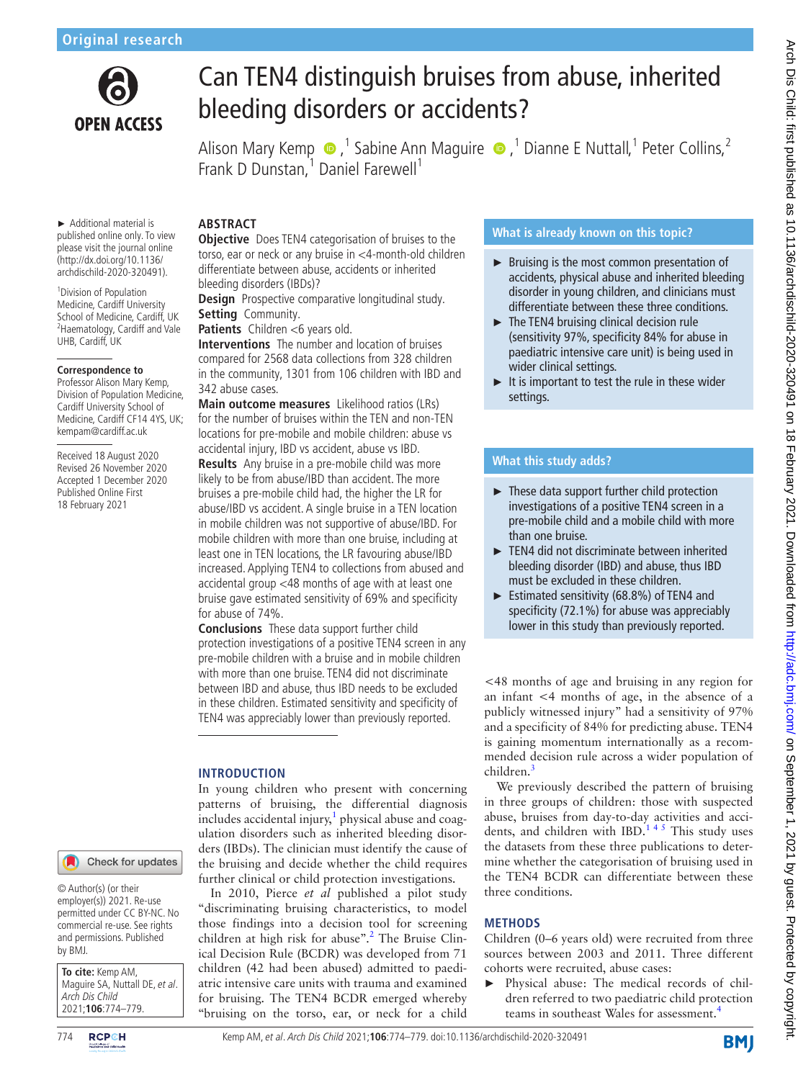

# Can TEN4 distinguish bruises from abuse, inherited bleeding disorders or accidents?

AlisonMary Kemp  $\bullet$  ,<sup>1</sup> Sabine Ann Maguire  $\bullet$  ,<sup>1</sup> Dianne E Nuttall,<sup>1</sup> Peter Collins,<sup>2</sup> Frank D Dunstan,<sup>1</sup> Daniel Farewell<sup>1</sup>

► Additional material is published online only. To view please visit the journal online (http://dx.doi.org/10.1136/ archdischild-2020-320491).

1 Division of Population Medicine, Cardiff University School of Medicine, Cardiff, UK <sup>2</sup> Haematology, Cardiff and Vale UHB, Cardiff, UK

#### **Correspondence to**

Professor Alison Mary Kemp, Division of Population Medicine, Cardiff University School of Medicine, Cardiff CF14 4YS, UK; kempam@cardiff.ac.uk

Received 18 August 2020 Revised 26 November 2020 Accepted 1 December 2020 Published Online First 18 February 2021

# **ABSTRACT**

**Objective** Does TEN4 categorisation of bruises to the torso, ear or neck or any bruise in <4-month-old children differentiate between abuse, accidents or inherited bleeding disorders (IBDs)?

**Design** Prospective comparative longitudinal study. **Setting** Community.

Patients Children <6 years old.

**Interventions** The number and location of bruises compared for 2568 data collections from 328 children in the community, 1301 from 106 children with IBD and 342 abuse cases.

**Main outcome measures** Likelihood ratios (LRs) for the number of bruises within the TEN and non-TEN locations for pre-mobile and mobile children: abuse vs accidental injury, IBD vs accident, abuse vs IBD.

**Results** Any bruise in a pre-mobile child was more likely to be from abuse/IBD than accident. The more bruises a pre-mobile child had, the higher the LR for abuse/IBD vs accident. A single bruise in a TEN location in mobile children was not supportive of abuse/IBD. For mobile children with more than one bruise, including at least one in TEN locations, the LR favouring abuse/IBD increased. Applying TEN4 to collections from abused and accidental group <48 months of age with at least one bruise gave estimated sensitivity of 69% and specificity for abuse of 74%.

**Conclusions** These data support further child protection investigations of a positive TEN4 screen in any pre-mobile children with a bruise and in mobile children with more than one bruise. TEN4 did not discriminate between IBD and abuse, thus IBD needs to be excluded in these children. Estimated sensitivity and specificity of TEN4 was appreciably lower than previously reported.

## **INTRODUCTION**

In young children who present with concerning patterns of bruising, the differential diagnosis includes accidental injury, $1$  physical abuse and coagulation disorders such as inherited bleeding disorders (IBDs). The clinician must identify the cause of the bruising and decide whether the child requires further clinical or child protection investigations.

In 2010, Pierce *et al* published a pilot study "discriminating bruising characteristics, to model those findings into a decision tool for screening children at high risk for abuse".<sup>[2](#page-4-1)</sup> The Bruise Clinical Decision Rule (BCDR) was developed from 71 children (42 had been abused) admitted to paediatric intensive care units with trauma and examined for bruising. The TEN4 BCDR emerged whereby "bruising on the torso, ear, or neck for a child

# **What is already known on this topic?**

- ► Bruising is the most common presentation of accidents, physical abuse and inherited bleeding disorder in young children, and clinicians must differentiate between these three conditions.
- ► The TEN4 bruising clinical decision rule (sensitivity 97%, specificity 84% for abuse in paediatric intensive care unit) is being used in wider clinical settings.
- $\blacktriangleright$  It is important to test the rule in these wider settings.

## **What this study adds?**

- ► These data support further child protection investigations of a positive TEN4 screen in a pre-mobile child and a mobile child with more than one bruise.
- ► TEN4 did not discriminate between inherited bleeding disorder (IBD) and abuse, thus IBD must be excluded in these children.
- ► Estimated sensitivity (68.8%) of TEN4 and specificity (72.1%) for abuse was appreciably lower in this study than previously reported.

<48 months of age and bruising in any region for an infant <4 months of age, in the absence of a publicly witnessed injury" had a sensitivity of 97% and a specificity of 84% for predicting abuse. TEN4 is gaining momentum internationally as a recommended decision rule across a wider population of children.<sup>[3](#page-4-2)</sup>

We previously described the pattern of bruising in three groups of children: those with suspected abuse, bruises from day-to-day activities and accidents, and children with IBD[.1 4 5](#page-4-0) This study uses the datasets from these three publications to determine whether the categorisation of bruising used in the TEN4 BCDR can differentiate between these three conditions.

## **METHODS**

Children (0–6 years old) were recruited from three sources between 2003 and 2011. Three different cohorts were recruited, abuse cases:

Physical abuse: The medical records of children referred to two paediatric child protection teams in southeast Wales for assessment.<sup>[4](#page-4-3)</sup>

Check for updates

© Author(s) (or their employer(s)) 2021. Re-use permitted under CC BY-NC. No commercial re-use. See rights and permissions. Published by BMJ.

**To cite:** Kemp AM, Maguire SA, Nuttall DE, et al. Arch Dis Child 2021;**106**:774–779.

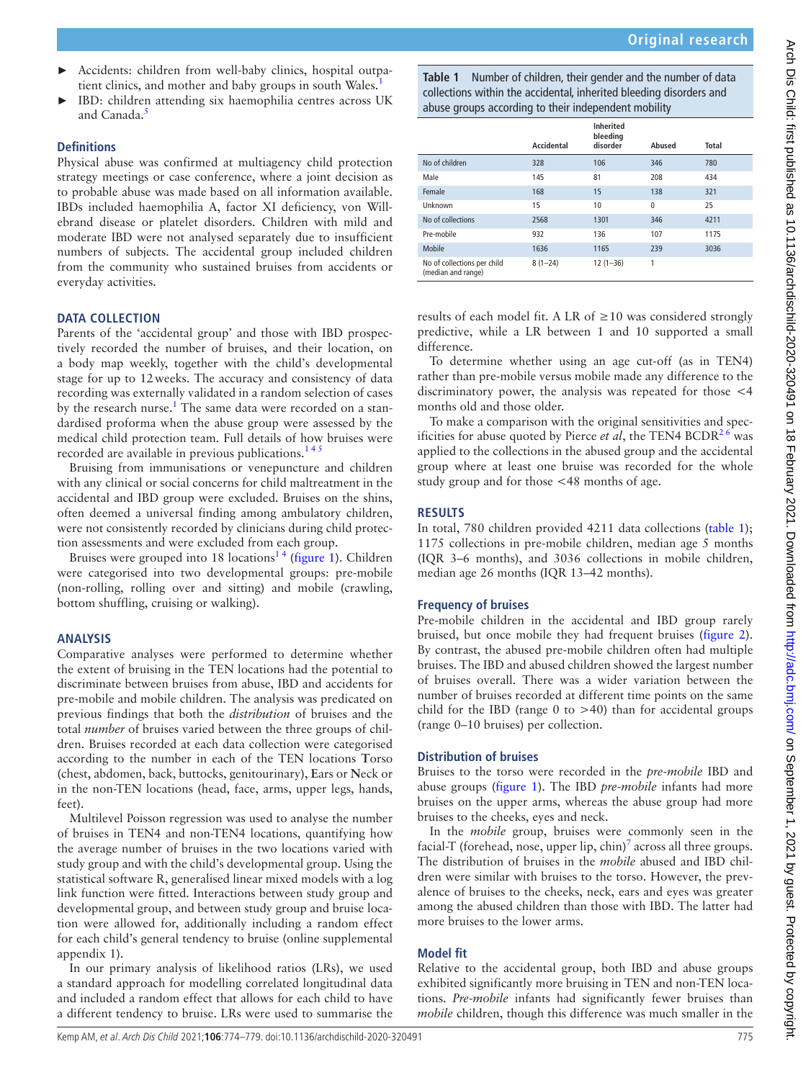- ► Accidents: children from well-baby clinics, hospital outpatient clinics, and mother and baby groups in south Wales.<sup>1</sup>
- IBD: children attending six haemophilia centres across UK and Canada.<sup>[5](#page-4-4)</sup>

### **Definitions**

Physical abuse was confirmed at multiagency child protection strategy meetings or case conference, where a joint decision as to probable abuse was made based on all information available. IBDs included haemophilia A, factor XI deficiency, von Willebrand disease or platelet disorders. Children with mild and moderate IBD were not analysed separately due to insufficient numbers of subjects. The accidental group included children from the community who sustained bruises from accidents or everyday activities.

## **DATA COLLECTION**

Parents of the 'accidental group' and those with IBD prospectively recorded the number of bruises, and their location, on a body map weekly, together with the child's developmental stage for up to 12weeks. The accuracy and consistency of data recording was externally validated in a random selection of cases by the research nurse.<sup>[1](#page-4-0)</sup> The same data were recorded on a standardised proforma when the abuse group were assessed by the medical child protection team. Full details of how bruises were recorded are available in previous publications.[1 4 5](#page-4-0)

Bruising from immunisations or venepuncture and children with any clinical or social concerns for child maltreatment in the accidental and IBD group were excluded. Bruises on the shins, often deemed a universal finding among ambulatory children, were not consistently recorded by clinicians during child protection assessments and were excluded from each group.

Bruises were grouped into 18 locations<sup>14</sup> [\(figure](#page-2-0) 1). Children were categorised into two developmental groups: pre-mobile (non-rolling, rolling over and sitting) and mobile (crawling, bottom shuffling, cruising or walking).

#### **ANALYSIS**

Comparative analyses were performed to determine whether the extent of bruising in the TEN locations had the potential to discriminate between bruises from abuse, IBD and accidents for pre-mobile and mobile children. The analysis was predicated on previous findings that both the *distribution* of bruises and the total *number* of bruises varied between the three groups of children. Bruises recorded at each data collection were categorised according to the number in each of the TEN locations **T**orso (chest, abdomen, back, buttocks, genitourinary), **E**ars or **N**eck or in the non-TEN locations (head, face, arms, upper legs, hands, feet).

Multilevel Poisson regression was used to analyse the number of bruises in TEN4 and non-TEN4 locations, quantifying how the average number of bruises in the two locations varied with study group and with the child's developmental group. Using the statistical software R, generalised linear mixed models with a log link function were fitted. Interactions between study group and developmental group, and between study group and bruise location were allowed for, additionally including a random effect for each child's general tendency to bruise ([online supplemental](https://dx.doi.org/10.1136/archdischild-2020-320491)  [appendix 1](https://dx.doi.org/10.1136/archdischild-2020-320491)).

In our primary analysis of likelihood ratios (LRs), we used a standard approach for modelling correlated longitudinal data and included a random effect that allows for each child to have a different tendency to bruise. LRs were used to summarise the

<span id="page-1-0"></span>**Table 1** Number of children, their gender and the number of data collections within the accidental, inherited bleeding disorders and abuse groups according to their independent mobility

|                                                   |            | <b>Inherited</b><br>bleeding |              |              |
|---------------------------------------------------|------------|------------------------------|--------------|--------------|
|                                                   | Accidental | disorder                     | Abused       | <b>Total</b> |
| No of children                                    | 328        | 106                          | 346          | 780          |
| Male                                              | 145        | 81                           | 208          | 434          |
| Female                                            | 168        | 15                           | 138          | 321          |
| Unknown                                           | 15         | 10                           | $\mathbf{0}$ | 25           |
| No of collections                                 | 2568       | 1301                         | 346          | 4211         |
| Pre-mobile                                        | 932        | 136                          | 107          | 1175         |
| Mobile                                            | 1636       | 1165                         | 239          | 3036         |
| No of collections per child<br>(median and range) | $8(1-24)$  | $12(1-36)$                   | 1            |              |

results of each model fit. A LR of  $\geq$  10 was considered strongly predictive, while a LR between 1 and 10 supported a small difference.

To determine whether using an age cut-off (as in TEN4) rather than pre-mobile versus mobile made any difference to the discriminatory power, the analysis was repeated for those <4 months old and those older.

To make a comparison with the original sensitivities and specificities for abuse quoted by Pierce *et al*, the TEN4 BCDR<sup>26</sup> was applied to the collections in the abused group and the accidental group where at least one bruise was recorded for the whole study group and for those <48 months of age.

#### **RESULTS**

In total, 780 children provided 4211 data collections ([table](#page-1-0) 1); 1175 collections in pre-mobile children, median age 5 months (IQR 3–6 months), and 3036 collections in mobile children, median age 26 months (IQR 13–42 months).

#### **Frequency of bruises**

Pre-mobile children in the accidental and IBD group rarely bruised, but once mobile they had frequent bruises ([figure](#page-2-1) 2). By contrast, the abused pre-mobile children often had multiple bruises. The IBD and abused children showed the largest number of bruises overall. There was a wider variation between the number of bruises recorded at different time points on the same child for the IBD (range  $0$  to  $>40$ ) than for accidental groups (range 0–10 bruises) per collection.

#### **Distribution of bruises**

Bruises to the torso were recorded in the *pre-mobile* IBD and abuse groups [\(figure](#page-2-0) 1). The IBD *pre-mobile* infants had more bruises on the upper arms, whereas the abuse group had more bruises to the cheeks, eyes and neck.

In the *mobile* group, bruises were commonly seen in the facial-T (forehead, nose, upper lip,  $\text{chin}$ )<sup>[7](#page-4-5)</sup> across all three groups. The distribution of bruises in the *mobile* abused and IBD children were similar with bruises to the torso. However, the prevalence of bruises to the cheeks, neck, ears and eyes was greater among the abused children than those with IBD. The latter had more bruises to the lower arms.

## **Model fit**

Relative to the accidental group, both IBD and abuse groups exhibited significantly more bruising in TEN and non-TEN locations. *Pre-mobile* infants had significantly fewer bruises than *mobile* children, though this difference was much smaller in the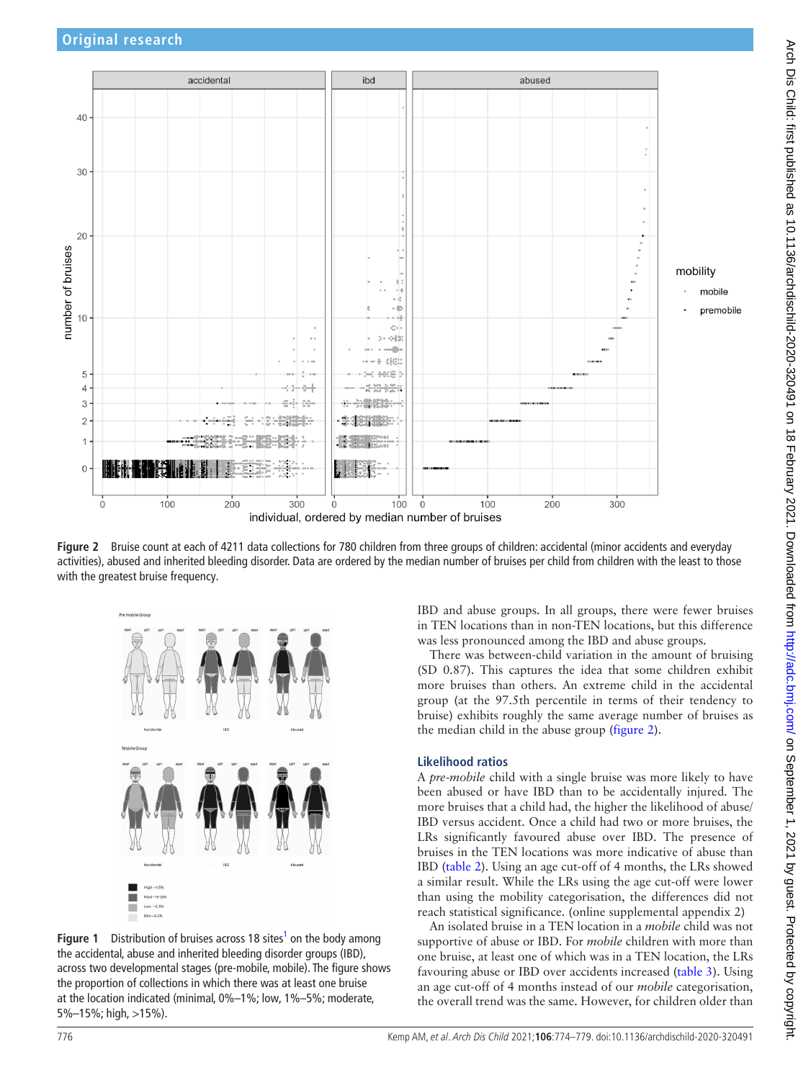

<span id="page-2-1"></span>**Figure 2** Bruise count at each of 4211 data collections for 780 children from three groups of children: accidental (minor accidents and everyday activities), abused and inherited bleeding disorder. Data are ordered by the median number of bruises per child from children with the least to those with the greatest bruise frequency.



<span id="page-2-0"></span>**Figure 1** Distribution of bruises across 18 sites<sup>1</sup> on the body among the accidental, abuse and inherited bleeding disorder groups (IBD), across two developmental stages (pre-mobile, mobile). The figure shows the proportion of collections in which there was at least one bruise at the location indicated (minimal, 0%–1%; low, 1%–5%; moderate, 5%–15%; high, >15%).

IBD and abuse groups. In all groups, there were fewer bruises in TEN locations than in non-TEN locations, but this difference was less pronounced among the IBD and abuse groups.

There was between-child variation in the amount of bruising (SD 0.87). This captures the idea that some children exhibit more bruises than others. An extreme child in the accidental group (at the 97.5th percentile in terms of their tendency to bruise) exhibits roughly the same average number of bruises as the median child in the abuse group ([figure](#page-2-1) 2).

## **Likelihood ratios**

A *pre-mobile* child with a single bruise was more likely to have been abused or have IBD than to be accidentally injured. The more bruises that a child had, the higher the likelihood of abuse/ IBD versus accident. Once a child had two or more bruises, the LRs significantly favoured abuse over IBD. The presence of bruises in the TEN locations was more indicative of abuse than IBD ([table](#page-3-0) 2). Using an age cut-off of 4 months, the LRs showed a similar result. While the LRs using the age cut-off were lower than using the mobility categorisation, the differences did not reach statistical significance. ([online supplemental appendix 2](https://dx.doi.org/10.1136/archdischild-2020-320491))

An isolated bruise in a TEN location in a *mobile* child was not supportive of abuse or IBD. For *mobile* children with more than one bruise, at least one of which was in a TEN location, the LRs favouring abuse or IBD over accidents increased ([table](#page-3-1) 3). Using an age cut-off of 4 months instead of our *mobile* categorisation, the overall trend was the same. However, for children older than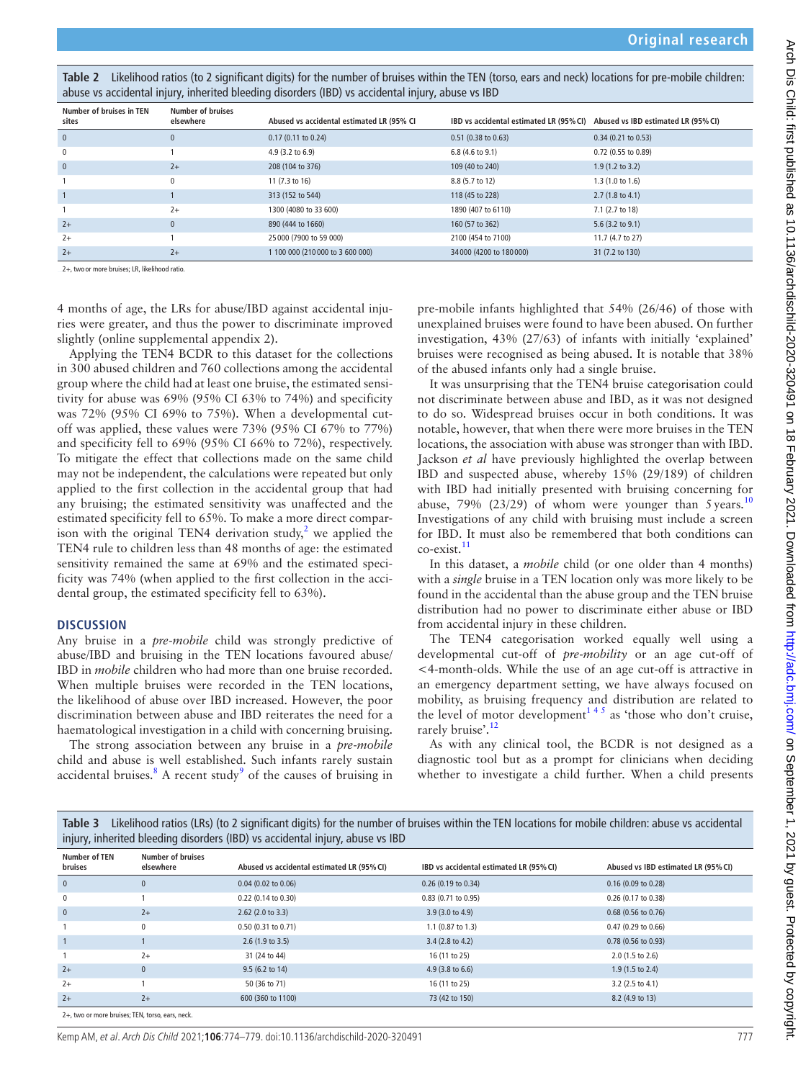<span id="page-3-0"></span>

| Table 2 Likelihood ratios (to 2 significant digits) for the number of bruises within the TEN (torso, ears and neck) locations for pre-mobile children: |
|--------------------------------------------------------------------------------------------------------------------------------------------------------|
| abuse vs accidental injury, inherited bleeding disorders (IBD) vs accidental injury, abuse vs IBD                                                      |

| Number of bruises in TEN<br>sites | <b>Number of bruises</b><br>elsewhere | Abused vs accidental estimated LR (95% CI) | IBD vs accidental estimated LR (95% CI) Abused vs IBD estimated LR (95% CI) |                             |
|-----------------------------------|---------------------------------------|--------------------------------------------|-----------------------------------------------------------------------------|-----------------------------|
| $\mathbf{0}$                      | $\mathbf 0$                           | $0.17$ (0.11 to 0.24)                      | $0.51$ (0.38 to 0.63)                                                       | $0.34$ (0.21 to 0.53)       |
| 0                                 |                                       | 4.9 (3.2 to 6.9)                           | $6.8(4.6 \text{ to } 9.1)$                                                  | 0.72 (0.55 to 0.89)         |
| $\mathbf{0}$                      | $2+$                                  | 208 (104 to 376)                           | 109 (40 to 240)                                                             | $1.9(1.2 \text{ to } 3.2)$  |
|                                   | 0                                     | 11 (7.3 to 16)                             | 8.8 (5.7 to 12)                                                             | 1.3(1.0 to 1.6)             |
|                                   |                                       | 313 (152 to 544)                           | 118 (45 to 228)                                                             | $2.7(1.8 \text{ to } 4.1)$  |
|                                   | $2+$                                  | 1300 (4080 to 33 600)                      | 1890 (407 to 6110)                                                          | 7.1 (2.7 to 18)             |
| $2+$                              | $\mathbf{0}$                          | 890 (444 to 1660)                          | 160 (57 to 362)                                                             | 5.6 $(3.2 \text{ to } 9.1)$ |
| $2+$                              |                                       | 25 000 (7900 to 59 000)                    | 2100 (454 to 7100)                                                          | 11.7 (4.7 to 27)            |
| $2+$                              | $2+$                                  | 1 100 000 (210 000 to 3 600 000)           | 34 000 (4200 to 180 000)                                                    | 31 (7.2 to 130)             |

2+, two or more bruises; LR, likelihood ratio.

4 months of age, the LRs for abuse/IBD against accidental injuries were greater, and thus the power to discriminate improved slightly [\(online supplemental appendix 2\)](https://dx.doi.org/10.1136/archdischild-2020-320491).

Applying the TEN4 BCDR to this dataset for the collections in 300 abused children and 760 collections among the accidental group where the child had at least one bruise, the estimated sensitivity for abuse was 69% (95% CI 63% to 74%) and specificity was 72% (95% CI 69% to 75%). When a developmental cutoff was applied, these values were 73% (95% CI 67% to 77%) and specificity fell to 69% (95% CI 66% to 72%), respectively. To mitigate the effect that collections made on the same child may not be independent, the calculations were repeated but only applied to the first collection in the accidental group that had any bruising; the estimated sensitivity was unaffected and the estimated specificity fell to 65%. To make a more direct comparison with the original TEN4 derivation study,<sup>2</sup> we applied the TEN4 rule to children less than 48 months of age: the estimated sensitivity remained the same at 69% and the estimated specificity was 74% (when applied to the first collection in the accidental group, the estimated specificity fell to 63%).

#### **DISCUSSION**

Any bruise in a *pre-mobile* child was strongly predictive of abuse/IBD and bruising in the TEN locations favoured abuse/ IBD in *mobile* children who had more than one bruise recorded. When multiple bruises were recorded in the TEN locations, the likelihood of abuse over IBD increased. However, the poor discrimination between abuse and IBD reiterates the need for a haematological investigation in a child with concerning bruising.

The strong association between any bruise in a *pre-mobile* child and abuse is well established. Such infants rarely sustain accidental bruises.<sup>[8](#page-4-6)</sup> A recent study<sup>[9](#page-5-0)</sup> of the causes of bruising in

pre-mobile infants highlighted that 54% (26/46) of those with unexplained bruises were found to have been abused. On further investigation, 43% (27/63) of infants with initially 'explained' bruises were recognised as being abused. It is notable that 38% of the abused infants only had a single bruise.

It was unsurprising that the TEN4 bruise categorisation could not discriminate between abuse and IBD, as it was not designed to do so. Widespread bruises occur in both conditions. It was notable, however, that when there were more bruises in the TEN locations, the association with abuse was stronger than with IBD. Jackson *et al* have previously highlighted the overlap between IBD and suspected abuse, whereby 15% (29/189) of children with IBD had initially presented with bruising concerning for abuse, 79% (23/29) of whom were younger than  $5 \text{ years.}^{10}$  $5 \text{ years.}^{10}$  $5 \text{ years.}^{10}$ Investigations of any child with bruising must include a screen for IBD. It must also be remembered that both conditions can co-exist.<sup>[11](#page-5-2)</sup>

In this dataset, a *mobile* child (or one older than 4 months) with a *single* bruise in a TEN location only was more likely to be found in the accidental than the abuse group and the TEN bruise distribution had no power to discriminate either abuse or IBD from accidental injury in these children.

The TEN4 categorisation worked equally well using a developmental cut-off of *pre-mobility* or an age cut-off of <4-month-olds. While the use of an age cut-off is attractive in an emergency department setting, we have always focused on mobility, as bruising frequency and distribution are related to the level of motor development<sup>145</sup> as 'those who don't cruise, rarely bruise'.<sup>[12](#page-5-3)</sup>

As with any clinical tool, the BCDR is not designed as a diagnostic tool but as a prompt for clinicians when deciding whether to investigate a child further. When a child presents

<span id="page-3-1"></span>

| Table 3 Likelihood ratios (LRs) (to 2 significant digits) for the number of bruises within the TEN locations for mobile children: abuse vs accidental |
|-------------------------------------------------------------------------------------------------------------------------------------------------------|
| injury, inherited bleeding disorders (IBD) vs accidental injury, abuse vs IBD                                                                         |

| <b>Number of TEN</b><br>bruises | <b>Number of bruises</b><br>elsewhere | Abused vs accidental estimated LR (95% CI) | IBD vs accidental estimated LR (95% CI) | Abused vs IBD estimated LR (95% CI) |
|---------------------------------|---------------------------------------|--------------------------------------------|-----------------------------------------|-------------------------------------|
| $\overline{0}$                  | $\Omega$                              | $0.04$ (0.02 to 0.06)                      | 0.26 (0.19 to 0.34)                     | $0.16$ (0.09 to 0.28)               |
| $\mathbf 0$                     |                                       | 0.22 (0.14 to 0.30)                        | $0.83$ (0.71 to 0.95)                   | 0.26 (0.17 to 0.38)                 |
| $\mathbf{0}$                    | $2+$                                  | $2.62$ (2.0 to 3.3)                        | 3.9 (3.0 to 4.9)                        | $0.68$ (0.56 to 0.76)               |
|                                 | $\mathbf{0}$                          | 0.50 (0.31 to 0.71)                        | 1.1 (0.87 to 1.3)                       | $0.47$ (0.29 to 0.66)               |
|                                 |                                       | 2.6(1.9 to 3.5)                            | 3.4 (2.8 to 4.2)                        | $0.78$ (0.56 to 0.93)               |
|                                 | $2+$                                  | 31 (24 to 44)                              | 16 (11 to 25)                           | 2.0 (1.5 to 2.6)                    |
| $2+$                            | $\mathbf{0}$                          | 9.5 (6.2 to 14)                            | 4.9 (3.8 to 6.6)                        | $1.9(1.5 \text{ to } 2.4)$          |
| $2+$                            |                                       | 50 (36 to 71)                              | 16 (11 to 25)                           | 3.2 (2.5 to 4.1)                    |
| $2+$                            | $2+$                                  | 600 (360 to 1100)                          | 73 (42 to 150)                          | 8.2 (4.9 to 13)                     |
|                                 |                                       |                                            |                                         |                                     |

2+, two or more bruises; TEN, torso, ears, neck.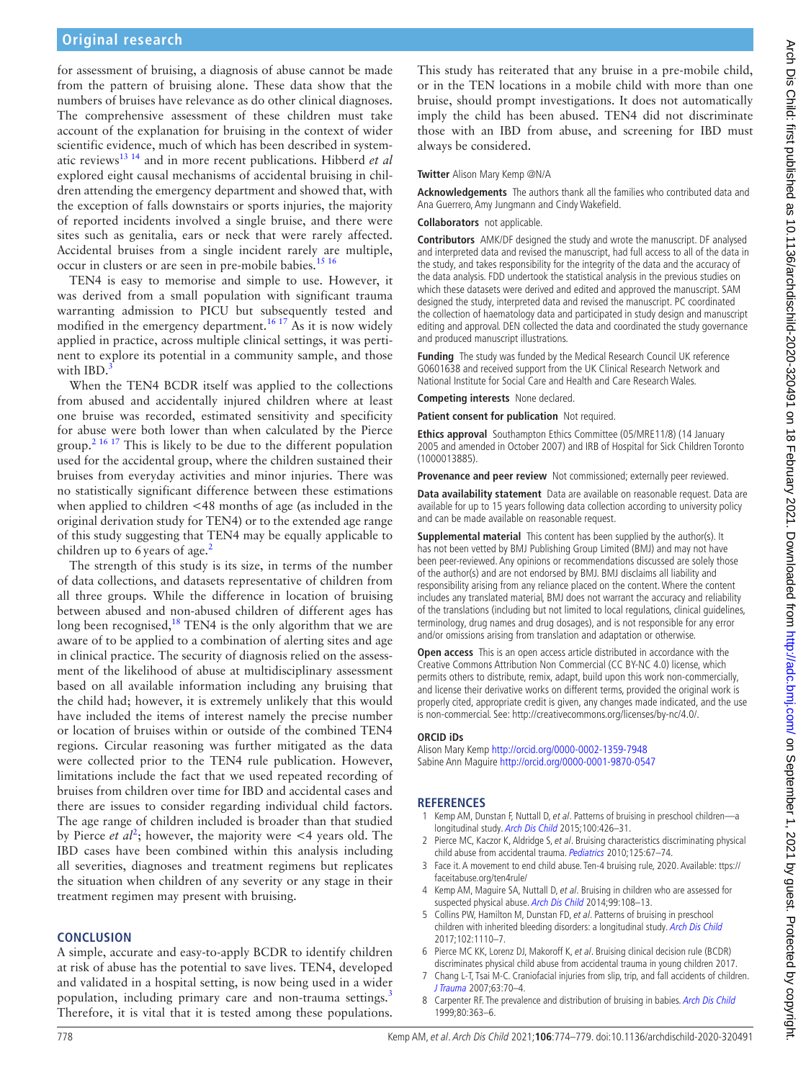for assessment of bruising, a diagnosis of abuse cannot be made from the pattern of bruising alone. These data show that the numbers of bruises have relevance as do other clinical diagnoses. The comprehensive assessment of these children must take account of the explanation for bruising in the context of wider scientific evidence, much of which has been described in systematic reviews[13 14](#page-5-4) and in more recent publications. Hibberd *et al* explored eight causal mechanisms of accidental bruising in children attending the emergency department and showed that, with the exception of falls downstairs or sports injuries, the majority of reported incidents involved a single bruise, and there were sites such as genitalia, ears or neck that were rarely affected. Accidental bruises from a single incident rarely are multiple, occur in clusters or are seen in pre-mobile babies.<sup>15 16</sup>

TEN4 is easy to memorise and simple to use. However, it was derived from a small population with significant trauma warranting admission to PICU but subsequently tested and modified in the emergency department.<sup>[16 17](#page-5-6)</sup> As it is now widely applied in practice, across multiple clinical settings, it was pertinent to explore its potential in a community sample, and those with IBD.

When the TEN4 BCDR itself was applied to the collections from abused and accidentally injured children where at least one bruise was recorded, estimated sensitivity and specificity for abuse were both lower than when calculated by the Pierce group.<sup>[2 16 17](#page-4-1)</sup> This is likely to be due to the different population used for the accidental group, where the children sustained their bruises from everyday activities and minor injuries. There was no statistically significant difference between these estimations when applied to children <48 months of age (as included in the original derivation study for TEN4) or to the extended age range of this study suggesting that TEN4 may be equally applicable to children up to 6 years of age. $<sup>2</sup>$ </sup>

The strength of this study is its size, in terms of the number of data collections, and datasets representative of children from all three groups. While the difference in location of bruising between abused and non-abused children of different ages has long been recognised,<sup>18</sup> TEN4 is the only algorithm that we are aware of to be applied to a combination of alerting sites and age in clinical practice. The security of diagnosis relied on the assessment of the likelihood of abuse at multidisciplinary assessment based on all available information including any bruising that the child had; however, it is extremely unlikely that this would have included the items of interest namely the precise number or location of bruises within or outside of the combined TEN4 regions. Circular reasoning was further mitigated as the data were collected prior to the TEN4 rule publication. However, limitations include the fact that we used repeated recording of bruises from children over time for IBD and accidental cases and there are issues to consider regarding individual child factors. The age range of children included is broader than that studied by Pierce *et al*<sup>[2](#page-4-1)</sup>; however, the majority were  $\lt$ 4 years old. The IBD cases have been combined within this analysis including all severities, diagnoses and treatment regimens but replicates the situation when children of any severity or any stage in their treatment regimen may present with bruising.

#### **CONCLUSION**

A simple, accurate and easy-to-apply BCDR to identify children at risk of abuse has the potential to save lives. TEN4, developed and validated in a hospital setting, is now being used in a wider population, including primary care and non-trauma settings.<sup>[3](#page-4-2)</sup> Therefore, it is vital that it is tested among these populations.

This study has reiterated that any bruise in a pre-mobile child, or in the TEN locations in a mobile child with more than one bruise, should prompt investigations. It does not automatically imply the child has been abused. TEN4 did not discriminate those with an IBD from abuse, and screening for IBD must always be considered.

## **Twitter** Alison Mary Kemp [@N/A](https://twitter.com/N/A)

**Acknowledgements** The authors thank all the families who contributed data and Ana Guerrero, Amy Jungmann and Cindy Wakefield.

#### **Collaborators** not applicable.

**Contributors** AMK/DF designed the study and wrote the manuscript. DF analysed and interpreted data and revised the manuscript, had full access to all of the data in the study, and takes responsibility for the integrity of the data and the accuracy of the data analysis. FDD undertook the statistical analysis in the previous studies on which these datasets were derived and edited and approved the manuscript. SAM designed the study, interpreted data and revised the manuscript. PC coordinated the collection of haematology data and participated in study design and manuscript editing and approval. DEN collected the data and coordinated the study governance and produced manuscript illustrations.

**Funding** The study was funded by the Medical Research Council UK reference G0601638 and received support from the UK Clinical Research Network and National Institute for Social Care and Health and Care Research Wales.

**Competing interests** None declared.

**Patient consent for publication** Not required.

**Ethics approval** Southampton Ethics Committee (05/MRE11/8) (14 January 2005 and amended in October 2007) and IRB of Hospital for Sick Children Toronto (1000013885).

**Provenance and peer review** Not commissioned; externally peer reviewed.

**Data availability statement** Data are available on reasonable request. Data are available for up to 15 years following data collection according to university policy and can be made available on reasonable request.

**Supplemental material** This content has been supplied by the author(s). It has not been vetted by BMJ Publishing Group Limited (BMJ) and may not have been peer-reviewed. Any opinions or recommendations discussed are solely those of the author(s) and are not endorsed by BMJ. BMJ disclaims all liability and responsibility arising from any reliance placed on the content. Where the content includes any translated material, BMJ does not warrant the accuracy and reliability of the translations (including but not limited to local regulations, clinical guidelines, terminology, drug names and drug dosages), and is not responsible for any error and/or omissions arising from translation and adaptation or otherwise.

**Open access** This is an open access article distributed in accordance with the Creative Commons Attribution Non Commercial (CC BY-NC 4.0) license, which permits others to distribute, remix, adapt, build upon this work non-commercially, and license their derivative works on different terms, provided the original work is properly cited, appropriate credit is given, any changes made indicated, and the use is non-commercial. See: [http://creativecommons.org/licenses/by-nc/4.0/.](http://creativecommons.org/licenses/by-nc/4.0/)

#### **ORCID iDs**

Alison Mary Kemp<http://orcid.org/0000-0002-1359-7948> Sabine Ann Maguire<http://orcid.org/0000-0001-9870-0547>

## **REFERENCES**

- <span id="page-4-0"></span>Kemp AM, Dunstan F, Nuttall D, et al. Patterns of bruising in preschool children—a longitudinal study. [Arch Dis Child](http://dx.doi.org/10.1136/archdischild-2014-307120) 2015;100:426–31.
- <span id="page-4-1"></span>Pierce MC, Kaczor K, Aldridge S, et al. Bruising characteristics discriminating physical child abuse from accidental trauma. [Pediatrics](http://dx.doi.org/10.1542/peds.2008-3632) 2010;125:67–74.
- <span id="page-4-2"></span>3 Face it. A movement to end child abuse. Ten-4 bruising rule, 2020. Available: [ttps://](ttps://faceitabuse.org/ten4rule/) [faceitabuse.org/ten4rule/](ttps://faceitabuse.org/ten4rule/)
- <span id="page-4-3"></span>4 Kemp AM, Maguire SA, Nuttall D, et al. Bruising in children who are assessed for suspected physical abuse. [Arch Dis Child](http://dx.doi.org/10.1136/archdischild-2013-304339) 2014;99:108-13.
- <span id="page-4-4"></span>5 Collins PW, Hamilton M, Dunstan FD, et al. Patterns of bruising in preschool children with inherited bleeding disorders: a longitudinal study. [Arch Dis Child](http://dx.doi.org/10.1136/archdischild-2015-310196) 2017;102:1110–7.
- 6 Pierce MC KK, Lorenz DJ, Makoroff K, et al. Bruising clinical decision rule (BCDR) discriminates physical child abuse from accidental trauma in young children 2017.
- <span id="page-4-5"></span>7 Chang L-T, Tsai M-C. Craniofacial injuries from slip, trip, and fall accidents of children. [J Trauma](http://dx.doi.org/10.1097/01.ta.0000219142.15584.b8) 2007;63:70–4.
- <span id="page-4-6"></span>8 Carpenter RF. The prevalence and distribution of bruising in babies. [Arch Dis Child](http://dx.doi.org/10.1136/adc.80.4.363) 1999;80:363–6.